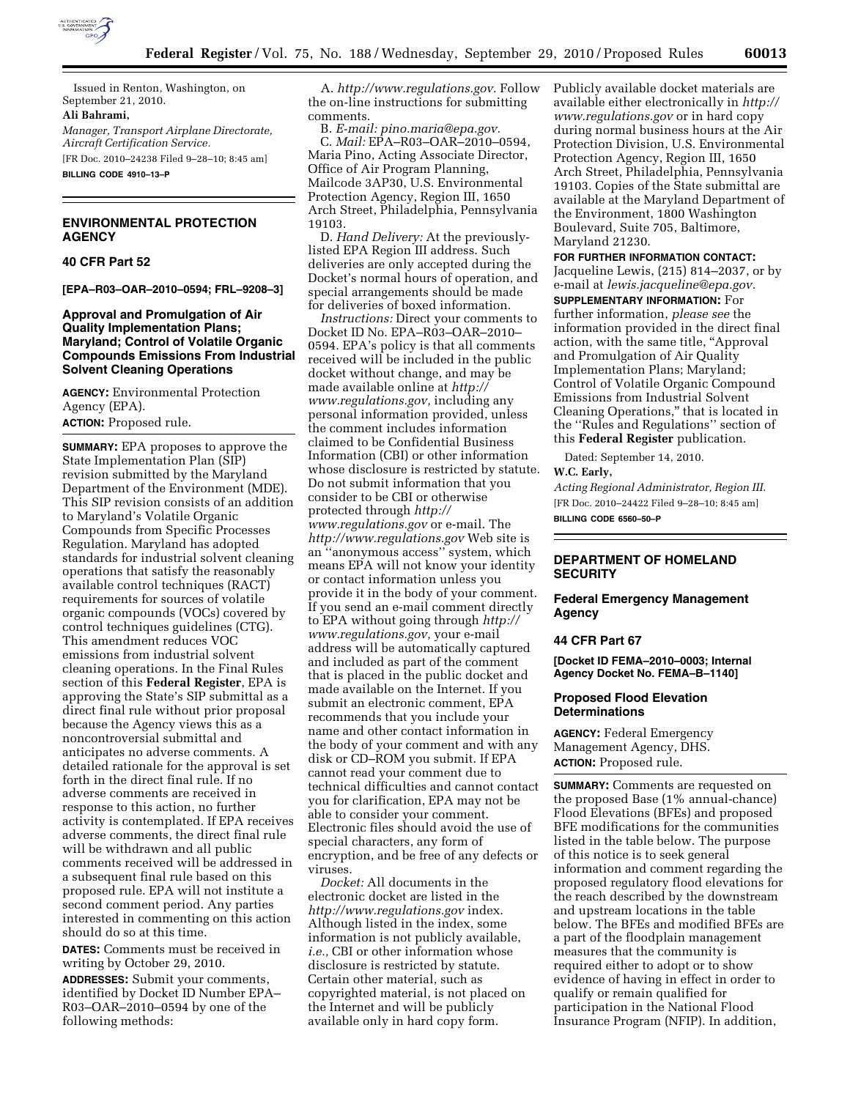

Issued in Renton, Washington, on September 21, 2010. **Ali Bahrami,** 

*Manager, Transport Airplane Directorate, Aircraft Certification Service.* 

[FR Doc. 2010–24238 Filed 9–28–10; 8:45 am]

**BILLING CODE 4910–13–P** 

# **ENVIRONMENTAL PROTECTION AGENCY**

#### **40 CFR Part 52**

**[EPA–R03–OAR–2010–0594; FRL–9208–3]** 

# **Approval and Promulgation of Air Quality Implementation Plans; Maryland; Control of Volatile Organic Compounds Emissions From Industrial Solvent Cleaning Operations**

**AGENCY:** Environmental Protection Agency (EPA).

**ACTION:** Proposed rule.

**SUMMARY:** EPA proposes to approve the State Implementation Plan (SIP) revision submitted by the Maryland Department of the Environment (MDE). This SIP revision consists of an addition to Maryland's Volatile Organic Compounds from Specific Processes Regulation. Maryland has adopted standards for industrial solvent cleaning operations that satisfy the reasonably available control techniques (RACT) requirements for sources of volatile organic compounds (VOCs) covered by control techniques guidelines (CTG). This amendment reduces VOC emissions from industrial solvent cleaning operations. In the Final Rules section of this **Federal Register**, EPA is approving the State's SIP submittal as a direct final rule without prior proposal because the Agency views this as a noncontroversial submittal and anticipates no adverse comments. A detailed rationale for the approval is set forth in the direct final rule. If no adverse comments are received in response to this action, no further activity is contemplated. If EPA receives adverse comments, the direct final rule will be withdrawn and all public comments received will be addressed in a subsequent final rule based on this proposed rule. EPA will not institute a second comment period. Any parties interested in commenting on this action should do so at this time.

**DATES:** Comments must be received in writing by October 29, 2010.

**ADDRESSES:** Submit your comments, identified by Docket ID Number EPA– R03–OAR–2010–0594 by one of the following methods:

A. *[http://www.regulations.gov.](http://www.regulations.gov)* Follow the on-line instructions for submitting comments.

B. *E-mail: [pino.maria@epa.gov.](mailto:pino.maria@epa.gov)*  C. *Mail:* EPA–R03–OAR–2010–0594, Maria Pino, Acting Associate Director, Office of Air Program Planning, Mailcode 3AP30, U.S. Environmental Protection Agency, Region III, 1650 Arch Street, Philadelphia, Pennsylvania 19103.

D. *Hand Delivery:* At the previouslylisted EPA Region III address. Such deliveries are only accepted during the Docket's normal hours of operation, and special arrangements should be made for deliveries of boxed information.

*Instructions:* Direct your comments to Docket ID No. EPA–R03–OAR–2010– 0594. EPA's policy is that all comments received will be included in the public docket without change, and may be made available online at *[http://](http://www.regulations.gov)  [www.regulations.gov,](http://www.regulations.gov)* including any personal information provided, unless the comment includes information claimed to be Confidential Business Information (CBI) or other information whose disclosure is restricted by statute. Do not submit information that you consider to be CBI or otherwise protected through *[http://](http://www.regulations.gov)  [www.regulations.gov](http://www.regulations.gov)* or e-mail. The *<http://www.regulations.gov>* Web site is an ''anonymous access'' system, which means EPA will not know your identity or contact information unless you provide it in the body of your comment. If you send an e-mail comment directly to EPA without going through *[http://](http://www.regulations.gov) [www.regulations.gov,](http://www.regulations.gov)* your e-mail address will be automatically captured and included as part of the comment that is placed in the public docket and made available on the Internet. If you submit an electronic comment, EPA recommends that you include your name and other contact information in the body of your comment and with any disk or CD–ROM you submit. If EPA cannot read your comment due to technical difficulties and cannot contact you for clarification, EPA may not be able to consider your comment. Electronic files should avoid the use of special characters, any form of encryption, and be free of any defects or viruses.

*Docket:* All documents in the electronic docket are listed in the *<http://www.regulations.gov>* index. Although listed in the index, some information is not publicly available, *i.e.,* CBI or other information whose disclosure is restricted by statute. Certain other material, such as copyrighted material, is not placed on the Internet and will be publicly available only in hard copy form.

Publicly available docket materials are available either electronically in *[http://](http://www.regulations.gov) [www.regulations.gov](http://www.regulations.gov)* or in hard copy during normal business hours at the Air Protection Division, U.S. Environmental Protection Agency, Region III, 1650 Arch Street, Philadelphia, Pennsylvania 19103. Copies of the State submittal are available at the Maryland Department of the Environment, 1800 Washington Boulevard, Suite 705, Baltimore, Maryland 21230.

**FOR FURTHER INFORMATION CONTACT:**  Jacqueline Lewis, (215) 814–2037, or by

e-mail at *[lewis.jacqueline@epa.gov.](mailto:lewis.jacqueline@epa.gov)*  **SUPPLEMENTARY INFORMATION:** For further information, *please see* the information provided in the direct final action, with the same title, "Approval and Promulgation of Air Quality Implementation Plans; Maryland; Control of Volatile Organic Compound Emissions from Industrial Solvent Cleaning Operations,'' that is located in the ''Rules and Regulations'' section of this **Federal Register** publication.

Dated: September 14, 2010.

#### **W.C. Early,**

*Acting Regional Administrator, Region III.*  [FR Doc. 2010–24422 Filed 9–28–10; 8:45 am] **BILLING CODE 6560–50–P** 

# **DEPARTMENT OF HOMELAND SECURITY**

# **Federal Emergency Management Agency**

### **44 CFR Part 67**

**[Docket ID FEMA–2010–0003; Internal Agency Docket No. FEMA–B–1140]** 

# **Proposed Flood Elevation Determinations**

**AGENCY:** Federal Emergency Management Agency, DHS. **ACTION:** Proposed rule.

**SUMMARY:** Comments are requested on the proposed Base (1% annual-chance) Flood Elevations (BFEs) and proposed BFE modifications for the communities listed in the table below. The purpose of this notice is to seek general information and comment regarding the proposed regulatory flood elevations for the reach described by the downstream and upstream locations in the table below. The BFEs and modified BFEs are a part of the floodplain management measures that the community is required either to adopt or to show evidence of having in effect in order to qualify or remain qualified for participation in the National Flood Insurance Program (NFIP). In addition,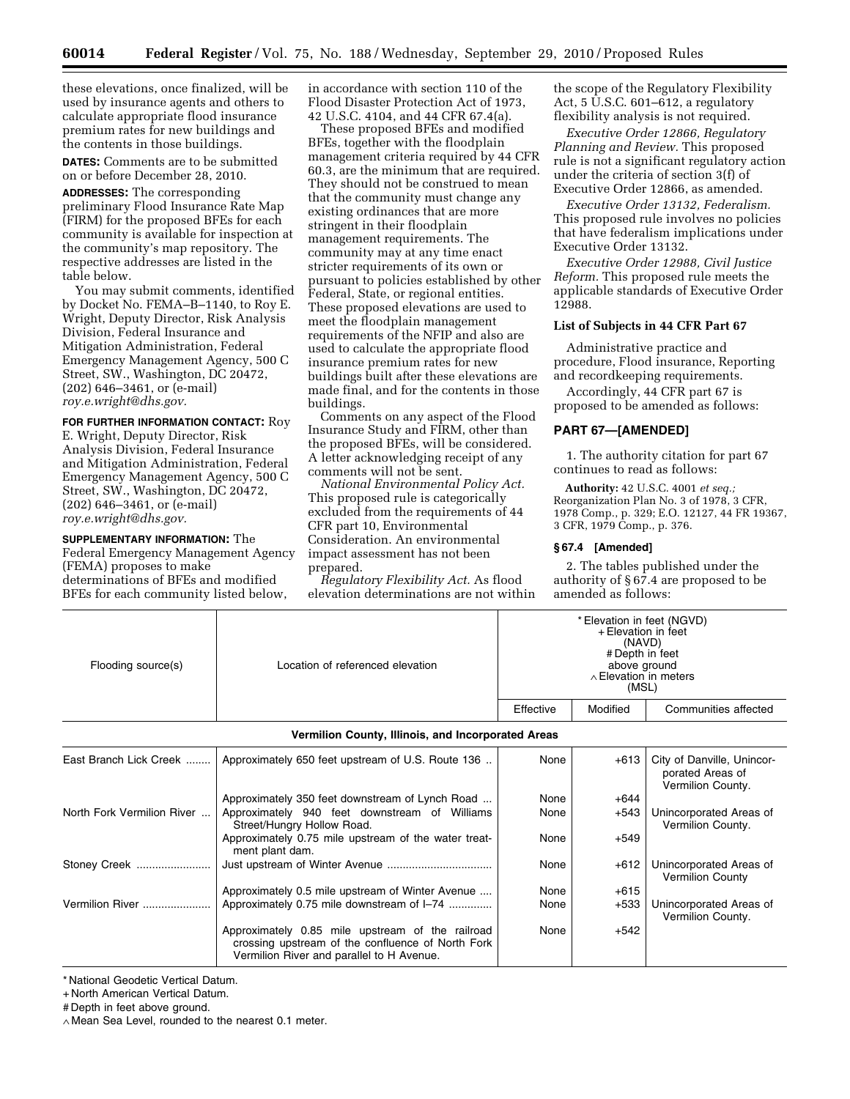these elevations, once finalized, will be used by insurance agents and others to calculate appropriate flood insurance premium rates for new buildings and the contents in those buildings.

**DATES:** Comments are to be submitted on or before December 28, 2010.

**ADDRESSES:** The corresponding preliminary Flood Insurance Rate Map (FIRM) for the proposed BFEs for each community is available for inspection at the community's map repository. The respective addresses are listed in the table below.

You may submit comments, identified by Docket No. FEMA–B–1140, to Roy E. Wright, Deputy Director, Risk Analysis Division, Federal Insurance and Mitigation Administration, Federal Emergency Management Agency, 500 C Street, SW., Washington, DC 20472, (202) 646–3461, or (e-mail) *[roy.e.wright@dhs.gov.](mailto:roy.e.wright@dhs.gov)* 

# **FOR FURTHER INFORMATION CONTACT:** Roy

E. Wright, Deputy Director, Risk Analysis Division, Federal Insurance and Mitigation Administration, Federal Emergency Management Agency, 500 C Street, SW., Washington, DC 20472, (202) 646–3461, or (e-mail) *[roy.e.wright@dhs.gov.](mailto:roy.e.wright@dhs.gov)* 

#### **SUPPLEMENTARY INFORMATION:** The Federal Emergency Management Agency

(FEMA) proposes to make determinations of BFEs and modified BFEs for each community listed below, in accordance with section 110 of the Flood Disaster Protection Act of 1973, 42 U.S.C. 4104, and 44 CFR 67.4(a).

These proposed BFEs and modified BFEs, together with the floodplain management criteria required by 44 CFR 60.3, are the minimum that are required. They should not be construed to mean that the community must change any existing ordinances that are more stringent in their floodplain management requirements. The community may at any time enact stricter requirements of its own or pursuant to policies established by other Federal, State, or regional entities. These proposed elevations are used to meet the floodplain management requirements of the NFIP and also are used to calculate the appropriate flood insurance premium rates for new buildings built after these elevations are made final, and for the contents in those buildings.

Comments on any aspect of the Flood Insurance Study and FIRM, other than the proposed BFEs, will be considered. A letter acknowledging receipt of any comments will not be sent.

*National Environmental Policy Act.*  This proposed rule is categorically excluded from the requirements of 44 CFR part 10, Environmental Consideration. An environmental impact assessment has not been prepared.

*Regulatory Flexibility Act.* As flood elevation determinations are not within the scope of the Regulatory Flexibility Act,  $5 \overline{U}$ .S.C.  $601 - 612$ , a regulatory flexibility analysis is not required.

*Executive Order 12866, Regulatory Planning and Review.* This proposed rule is not a significant regulatory action under the criteria of section 3(f) of Executive Order 12866, as amended.

*Executive Order 13132, Federalism.*  This proposed rule involves no policies that have federalism implications under Executive Order 13132.

*Executive Order 12988, Civil Justice Reform.* This proposed rule meets the applicable standards of Executive Order 12988.

## **List of Subjects in 44 CFR Part 67**

Administrative practice and procedure, Flood insurance, Reporting and recordkeeping requirements.

Accordingly, 44 CFR part 67 is proposed to be amended as follows:

#### **PART 67—[AMENDED]**

1. The authority citation for part 67 continues to read as follows:

**Authority:** 42 U.S.C. 4001 *et seq.;*  Reorganization Plan No. 3 of 1978, 3 CFR, 1978 Comp., p. 329; E.O. 12127, 44 FR 19367, 3 CFR, 1979 Comp., p. 376.

# **§ 67.4 [Amended]**

2. The tables published under the authority of § 67.4 are proposed to be amended as follows:

| Flooding source(s)                                 | Location of referenced elevation | * Elevation in feet (NGVD)<br>+ Elevation in feet<br>(NAVD)<br># Depth in feet<br>above ground<br>$\land$ Elevation in meters<br>(MSL) |          |                      |
|----------------------------------------------------|----------------------------------|----------------------------------------------------------------------------------------------------------------------------------------|----------|----------------------|
|                                                    |                                  | Effective                                                                                                                              | Modified | Communities affected |
| Vermilion County, Illinois, and Incorporated Areas |                                  |                                                                                                                                        |          |                      |

| East Branch Lick Creek     | Approximately 650 feet upstream of U.S. Route 136.                                                                                                 | None | +613   | City of Danville, Unincor-<br>porated Areas of<br>Vermilion County. |
|----------------------------|----------------------------------------------------------------------------------------------------------------------------------------------------|------|--------|---------------------------------------------------------------------|
|                            | Approximately 350 feet downstream of Lynch Road                                                                                                    | None | +644   |                                                                     |
| North Fork Vermilion River | Approximately 940 feet downstream of Williams<br>Street/Hungry Hollow Road.                                                                        | None | +543   | Unincorporated Areas of<br>Vermilion County.                        |
|                            | Approximately 0.75 mile upstream of the water treat-<br>ment plant dam.                                                                            | None | +549   |                                                                     |
| Stoney Creek               |                                                                                                                                                    | None | +612   | Unincorporated Areas of<br><b>Vermilion County</b>                  |
|                            | Approximately 0.5 mile upstream of Winter Avenue                                                                                                   | None | $+615$ |                                                                     |
| Vermilion River            | Approximately 0.75 mile downstream of I-74                                                                                                         | None | $+533$ | Unincorporated Areas of<br>Vermilion County.                        |
|                            | Approximately 0.85 mile upstream of the railroad<br>crossing upstream of the confluence of North Fork<br>Vermilion River and parallel to H Avenue. | None | $+542$ |                                                                     |

\* National Geodetic Vertical Datum.

+ North American Vertical Datum.

# Depth in feet above ground.

∧ Mean Sea Level, rounded to the nearest 0.1 meter.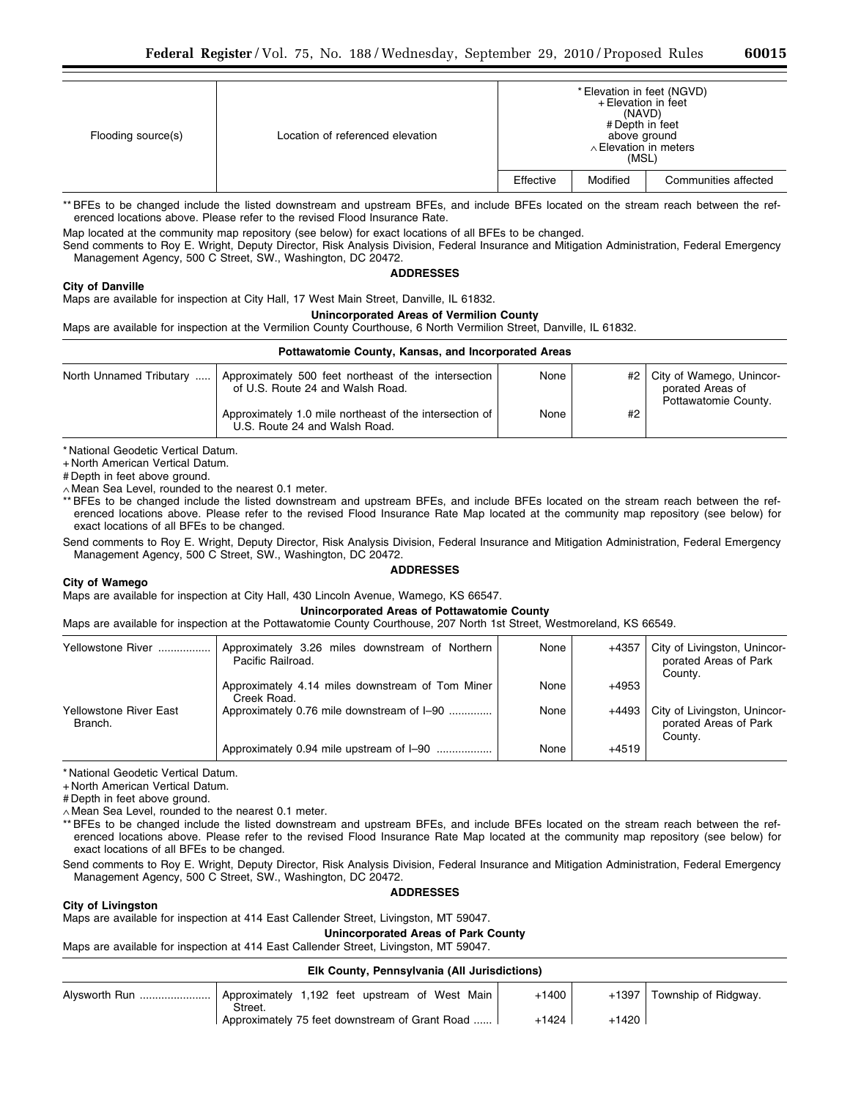| Flooding source(s) | Location of referenced elevation |           | * Elevation in feet (NGVD)<br>+ Elevation in feet<br>(NAVD)<br># Depth in feet<br>above ground<br>$\land$ Elevation in meters<br>(MSL) |                      |
|--------------------|----------------------------------|-----------|----------------------------------------------------------------------------------------------------------------------------------------|----------------------|
|                    |                                  | Effective | Modified                                                                                                                               | Communities affected |

\*\* BFEs to be changed include the listed downstream and upstream BFEs, and include BFEs located on the stream reach between the referenced locations above. Please refer to the revised Flood Insurance Rate.

Map located at the community map repository (see below) for exact locations of all BFEs to be changed.

Send comments to Roy E. Wright, Deputy Director, Risk Analysis Division, Federal Insurance and Mitigation Administration, Federal Emergency Management Agency, 500 C Street, SW., Washington, DC 20472.

# **City of Danville**

**ADDRESSES** 

Maps are available for inspection at City Hall, 17 West Main Street, Danville, IL 61832.

**Unincorporated Areas of Vermilion County** 

Maps are available for inspection at the Vermilion County Courthouse, 6 North Vermilion Street, Danville, IL 61832.

# **Pottawatomie County, Kansas, and Incorporated Areas**

| North Unnamed Tributary | Approximately 500 feet northeast of the intersection<br>of U.S. Route 24 and Walsh Road. | None |    | #2   City of Wamego, Unincor-<br>porated Areas of<br>Pottawatomie County. |
|-------------------------|------------------------------------------------------------------------------------------|------|----|---------------------------------------------------------------------------|
|                         | Approximately 1.0 mile northeast of the intersection of<br>U.S. Route 24 and Walsh Road. | None | #2 |                                                                           |

\* National Geodetic Vertical Datum.

+ North American Vertical Datum.

# Depth in feet above ground.

∧ Mean Sea Level, rounded to the nearest 0.1 meter.

\*\* BFEs to be changed include the listed downstream and upstream BFEs, and include BFEs located on the stream reach between the referenced locations above. Please refer to the revised Flood Insurance Rate Map located at the community map repository (see below) for exact locations of all BFEs to be changed.

Send comments to Roy E. Wright, Deputy Director, Risk Analysis Division, Federal Insurance and Mitigation Administration, Federal Emergency Management Agency, 500 C Street, SW., Washington, DC 20472. **ADDRESSES** 

### **City of Wamego**

Maps are available for inspection at City Hall, 430 Lincoln Avenue, Wamego, KS 66547.

# **Unincorporated Areas of Pottawatomie County**

Maps are available for inspection at the Pottawatomie County Courthouse, 207 North 1st Street, Westmoreland, KS 66549.

| Yellowstone River                        | Approximately 3.26 miles downstream of Northern<br>Pacific Railroad. | None | +4357   | City of Livingston, Unincor-<br>porated Areas of Park<br>County. |
|------------------------------------------|----------------------------------------------------------------------|------|---------|------------------------------------------------------------------|
|                                          | Approximately 4.14 miles downstream of Tom Miner<br>Creek Road.      | None | $+4953$ |                                                                  |
| <b>Yellowstone River East</b><br>Branch. | Approximately 0.76 mile downstream of I-90                           | None | +4493   | City of Livingston, Unincor-<br>porated Areas of Park<br>County. |
|                                          |                                                                      | None | $+4519$ |                                                                  |

\* National Geodetic Vertical Datum.

+ North American Vertical Datum.

# Depth in feet above ground.

∧ Mean Sea Level, rounded to the nearest 0.1 meter.

\*\* BFEs to be changed include the listed downstream and upstream BFEs, and include BFEs located on the stream reach between the referenced locations above. Please refer to the revised Flood Insurance Rate Map located at the community map repository (see below) for exact locations of all BFEs to be changed.

Send comments to Roy E. Wright, Deputy Director, Risk Analysis Division, Federal Insurance and Mitigation Administration, Federal Emergency Management Agency, 500 C Street, SW., Washington, DC 20472.

**City of Livingston** 

# **ADDRESSES**

Maps are available for inspection at 414 East Callender Street, Livingston, MT 59047.

**Unincorporated Areas of Park County** 

Maps are available for inspection at 414 East Callender Street, Livingston, MT 59047.

# **Elk County, Pennsylvania (All Jurisdictions)**

| Alvsworth Run | Approximately 1,192 feet upstream of West Main            |  |  | $+1400$ | +1397 | Township of Ridgway. |
|---------------|-----------------------------------------------------------|--|--|---------|-------|----------------------|
|               | Street.<br>Approximately 75 feet downstream of Grant Road |  |  | +1424   | +1420 |                      |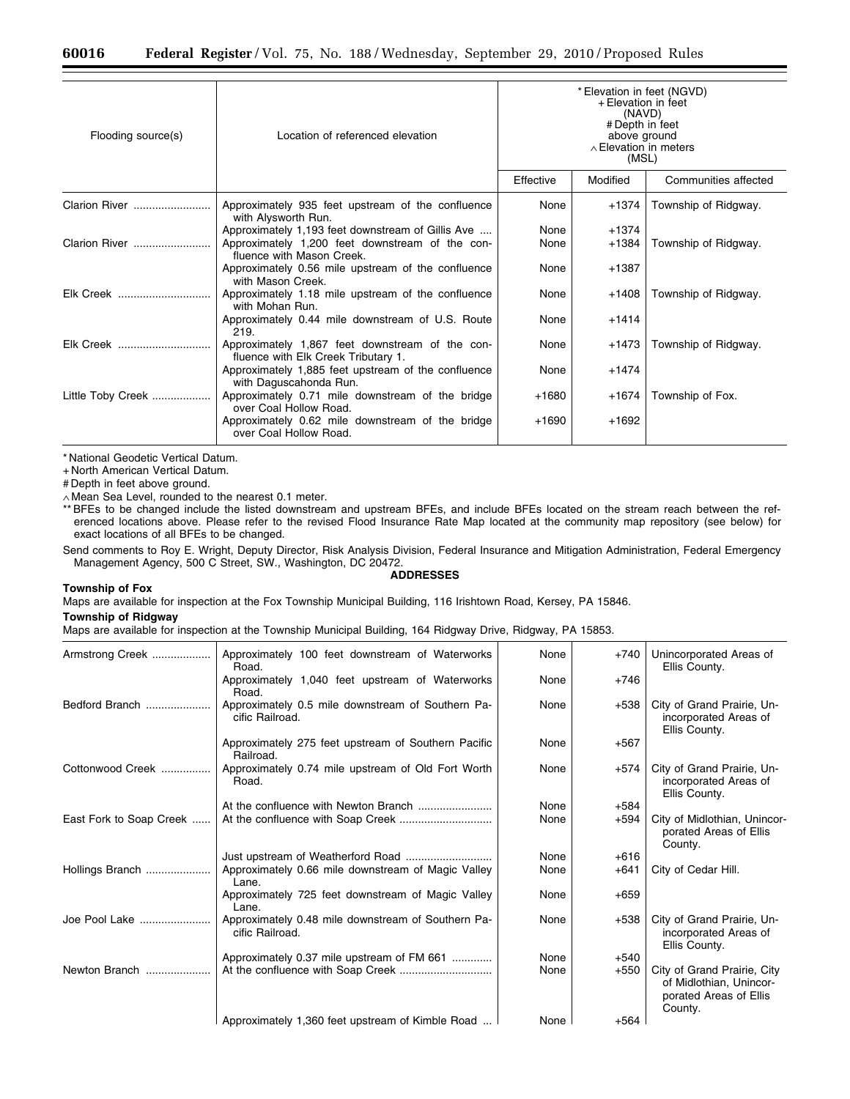| Flooding source(s) | Location of referenced elevation                                                       | * Elevation in feet (NGVD)<br>+ Elevation in feet<br>(NAVD)<br># Depth in feet<br>above ground<br>$\wedge$ Elevation in meters<br>(MSL) |          |                      |
|--------------------|----------------------------------------------------------------------------------------|-----------------------------------------------------------------------------------------------------------------------------------------|----------|----------------------|
|                    |                                                                                        | Effective                                                                                                                               | Modified | Communities affected |
|                    | Approximately 935 feet upstream of the confluence<br>with Alysworth Run.               | None                                                                                                                                    | $+1374$  | Township of Ridgway. |
|                    | Approximately 1,193 feet downstream of Gillis Ave                                      | None                                                                                                                                    | $+1374$  |                      |
| Clarion River      | Approximately 1,200 feet downstream of the con-<br>fluence with Mason Creek.           | None                                                                                                                                    | $+1384$  | Township of Ridgway. |
|                    | Approximately 0.56 mile upstream of the confluence<br>with Mason Creek.                | None                                                                                                                                    | $+1387$  |                      |
| Elk Creek          | Approximately 1.18 mile upstream of the confluence<br>with Mohan Run.                  | None                                                                                                                                    | $+1408$  | Township of Ridgway. |
|                    | Approximately 0.44 mile downstream of U.S. Route<br>219.                               | None                                                                                                                                    | $+1414$  |                      |
| Elk Creek          | Approximately 1,867 feet downstream of the con-<br>fluence with Elk Creek Tributary 1. | None                                                                                                                                    | +1473    | Township of Ridgway. |
|                    | Approximately 1,885 feet upstream of the confluence<br>with Daguscahonda Run.          | None                                                                                                                                    | $+1474$  |                      |
| Little Toby Creek  | Approximately 0.71 mile downstream of the bridge<br>over Coal Hollow Road.             | $+1680$                                                                                                                                 | +1674    | Township of Fox.     |
|                    | Approximately 0.62 mile downstream of the bridge<br>over Coal Hollow Road.             | $+1690$                                                                                                                                 | $+1692$  |                      |

\* National Geodetic Vertical Datum.

+ North American Vertical Datum.

# Depth in feet above ground.

∧ Mean Sea Level, rounded to the nearest 0.1 meter.

\*\* BFEs to be changed include the listed downstream and upstream BFEs, and include BFEs located on the stream reach between the referenced locations above. Please refer to the revised Flood Insurance Rate Map located at the community map repository (see below) for exact locations of all BFEs to be changed.

Send comments to Roy E. Wright, Deputy Director, Risk Analysis Division, Federal Insurance and Mitigation Administration, Federal Emergency Management Agency, 500 C Street, SW., Washington, DC 20472.

# **ADDRESSES**

Maps are available for inspection at the Fox Township Municipal Building, 116 Irishtown Road, Kersey, PA 15846.

# **Township of Ridgway**

**Township of Fox** 

Maps are available for inspection at the Township Municipal Building, 164 Ridgway Drive, Ridgway, PA 15853.

| Armstrong Creek         | Approximately 100 feet downstream of Waterworks<br>Road.              | None | $+740$ | Unincorporated Areas of<br>Ellis County.                                                    |
|-------------------------|-----------------------------------------------------------------------|------|--------|---------------------------------------------------------------------------------------------|
|                         | Approximately 1,040 feet upstream of Waterworks<br>Road.              | None | $+746$ |                                                                                             |
| Bedford Branch          | Approximately 0.5 mile downstream of Southern Pa-<br>cific Railroad.  | None | $+538$ | City of Grand Prairie, Un-<br>incorporated Areas of<br>Ellis County.                        |
|                         | Approximately 275 feet upstream of Southern Pacific<br>Railroad.      | None | $+567$ |                                                                                             |
| Cottonwood Creek        | Approximately 0.74 mile upstream of Old Fort Worth<br>Road.           | None | $+574$ | City of Grand Prairie, Un-<br>incorporated Areas of<br>Ellis County.                        |
|                         |                                                                       | None | $+584$ |                                                                                             |
| East Fork to Soap Creek |                                                                       | None | $+594$ | City of Midlothian, Unincor-<br>porated Areas of Ellis<br>County.                           |
|                         |                                                                       | None | $+616$ |                                                                                             |
| Hollings Branch         | Approximately 0.66 mile downstream of Magic Valley<br>Lane.           | None | $+641$ | City of Cedar Hill.                                                                         |
|                         | Approximately 725 feet downstream of Magic Valley<br>Lane.            | None | $+659$ |                                                                                             |
| Joe Pool Lake           | Approximately 0.48 mile downstream of Southern Pa-<br>cific Railroad. | None | $+538$ | City of Grand Prairie, Un-<br>incorporated Areas of<br>Ellis County.                        |
|                         | Approximately 0.37 mile upstream of FM 661                            | None | $+540$ |                                                                                             |
| Newton Branch           |                                                                       | None | $+550$ | City of Grand Prairie, City<br>of Midlothian, Unincor-<br>porated Areas of Ellis<br>County. |
|                         | Approximately 1,360 feet upstream of Kimble Road                      | None | $+564$ |                                                                                             |